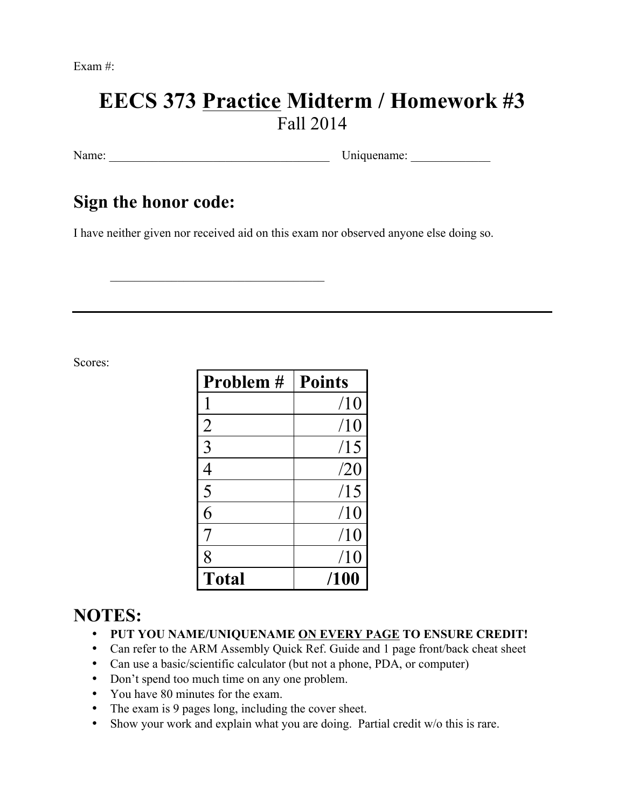Exam #:

# **EECS 373 Practice Midterm / Homework #3** Fall 2014

Name: Uniquename: Uniquename:

## **Sign the honor code:**

I have neither given nor received aid on this exam nor observed anyone else doing so.

 $\mathcal{L}_\text{max}$  , where  $\mathcal{L}_\text{max}$  and  $\mathcal{L}_\text{max}$  and  $\mathcal{L}_\text{max}$ 

Scores:

| Problem #    | <b>Points</b> |
|--------------|---------------|
|              | /10           |
| 2            | /10           |
| 3            | /15           |
| 4            | /20           |
| 5            | /15           |
| 6            | /10           |
|              | /10           |
| 8            | /10           |
| <b>Total</b> | /100          |

## **NOTES:**

- **PUT YOU NAME/UNIQUENAME ON EVERY PAGE TO ENSURE CREDIT!**
- Can refer to the ARM Assembly Quick Ref. Guide and 1 page front/back cheat sheet
- Can use a basic/scientific calculator (but not a phone, PDA, or computer)
- Don't spend too much time on any one problem.
- You have 80 minutes for the exam.
- The exam is 9 pages long, including the cover sheet.
- Show your work and explain what you are doing. Partial credit w/o this is rare.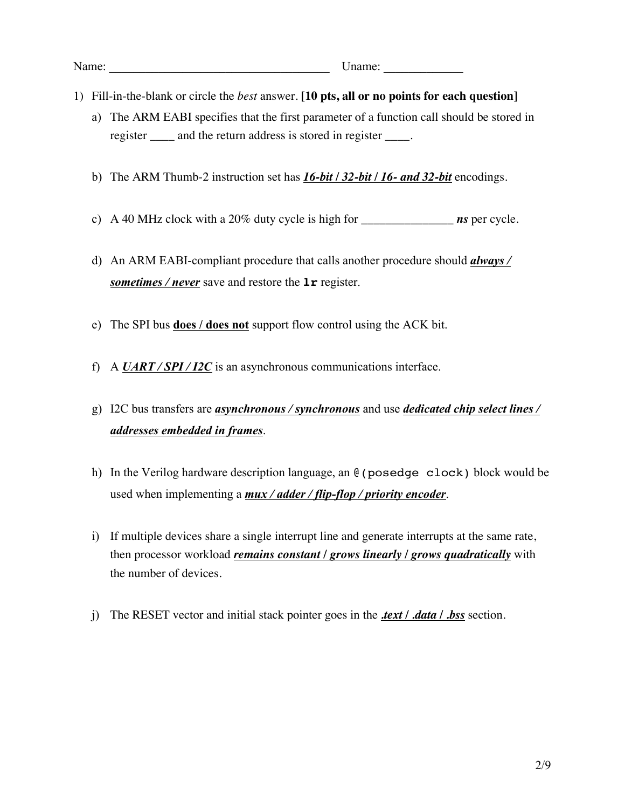Name: Uname:

- 1) Fill-in-the-blank or circle the *best* answer. **[10 pts, all or no points for each question]**
	- a) The ARM EABI specifies that the first parameter of a function call should be stored in register \_\_\_\_ and the return address is stored in register \_\_\_\_.
	- b) The ARM Thumb-2 instruction set has *16-bit / 32-bit / 16- and 32-bit* encodings.
	- c) A 40 MHz clock with a 20% duty cycle is high for \_\_\_\_\_\_\_\_\_\_\_\_\_\_\_ *ns* per cycle.
	- d) An ARM EABI-compliant procedure that calls another procedure should *always / sometimes / never* save and restore the **lr** register.
	- e) The SPI bus **does / does not** support flow control using the ACK bit.
	- f) A *UART / SPI / I2C* is an asynchronous communications interface.
	- g) I2C bus transfers are *asynchronous / synchronous* and use *dedicated chip select lines / addresses embedded in frames*.
	- h) In the Verilog hardware description language, an @(posedge clock) block would be used when implementing a *mux / adder / flip-flop / priority encoder*.
	- i) If multiple devices share a single interrupt line and generate interrupts at the same rate, then processor workload *remains constant / grows linearly / grows quadratically* with the number of devices.
	- j) The RESET vector and initial stack pointer goes in the *.text / .data / .bss* section.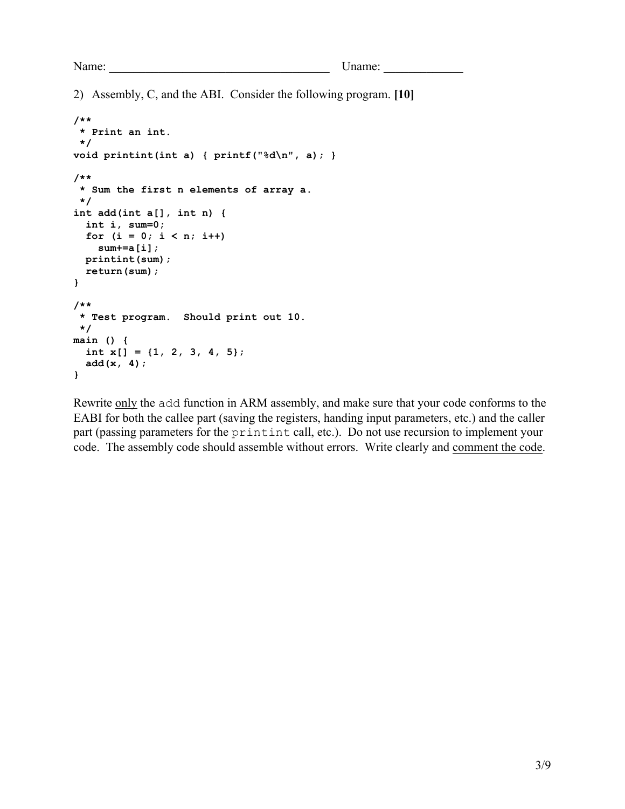2) Assembly, C, and the ABI. Consider the following program. **[10]**

```
/**
 * Print an int.
 */
void printint(int a) { printf("%d\n", a); }
/**
 * Sum the first n elements of array a.
 */ 
int add(int a[], int n) {
   int i, sum=0;
  for (i = 0; i < n; i++) sum+=a[i];
  printint(sum);
   return(sum);
}
/**
 * Test program. Should print out 10.
 */
main () {
   int x[] = {1, 2, 3, 4, 5};
   add(x, 4);
}
```
Rewrite only the add function in ARM assembly, and make sure that your code conforms to the EABI for both the callee part (saving the registers, handing input parameters, etc.) and the caller part (passing parameters for the printint call, etc.). Do not use recursion to implement your code. The assembly code should assemble without errors. Write clearly and comment the code.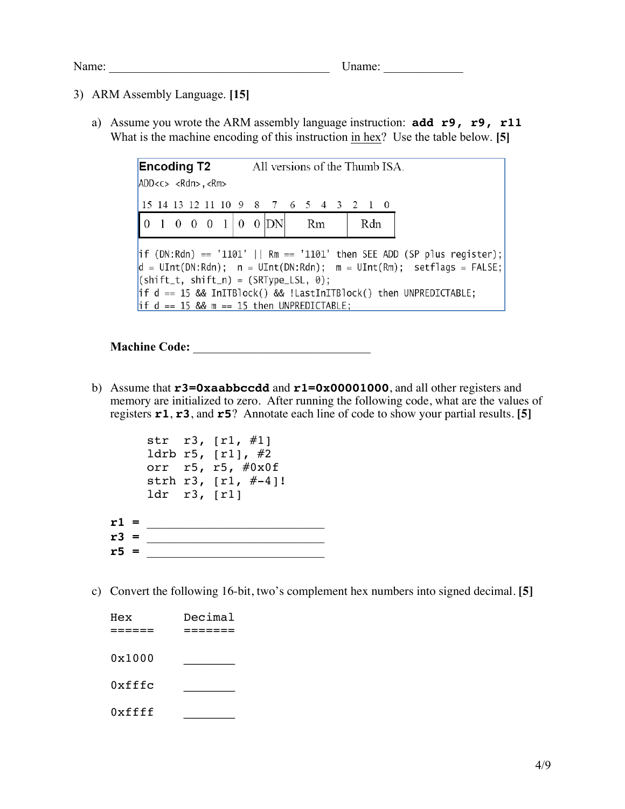#### 3) ARM Assembly Language. **[15]**

a) Assume you wrote the ARM assembly language instruction: **add r9, r9, r11** What is the machine encoding of this instruction in hex? Use the table below. **[5]**

| <b>Encoding T2</b> All versions of the Thumb ISA.                                                                                                                                                                                                                                                                                                        |    |     |  |  |  |
|----------------------------------------------------------------------------------------------------------------------------------------------------------------------------------------------------------------------------------------------------------------------------------------------------------------------------------------------------------|----|-----|--|--|--|
| ADD < c > <rdn> , <rm></rm></rdn>                                                                                                                                                                                                                                                                                                                        |    |     |  |  |  |
| 15 14 13 12 11 10 9 8 7 6 5 4 3 2 1 0                                                                                                                                                                                                                                                                                                                    |    |     |  |  |  |
| $\begin{bmatrix} 0 & 1 & 0 & 0 & 0 & 1 & 0 & 0 & 0 \end{bmatrix}$                                                                                                                                                                                                                                                                                        | Rm | Rdn |  |  |  |
| $ if (DN:Rdn) == '1101'    Rm == '1101' then SEE ADD (SP plus register);$<br>$ d = \text{UInt(DN:Rdn)}$ ; $n = \text{UInt(DN:Rdn)}$ ; $m = \text{UInt(Rm)}$ ; setflags = FALSE;<br>${\vert$ (shift_t, shift_n) = (SRType_LSL, 0);<br> if $d == 15$ && InITBlock() && !LastInITBlock() then UNPREDICTABLE;<br>$if d == 15$ && m == 15 then UNPREDICTABLE; |    |     |  |  |  |

### **Machine Code:** \_\_\_\_\_\_\_\_\_\_\_\_\_\_\_\_\_\_\_\_\_\_\_\_\_\_\_\_\_

b) Assume that **r3=0xaabbccdd** and **r1=0x00001000**, and all other registers and memory are initialized to zero. After running the following code, what are the values of registers **r1**, **r3**, and **r5**? Annotate each line of code to show your partial results. **[5]**

|        | ldr $r3$ , $r1$ ] | str $r3, [r1, #1]$<br>ldrb $r5,$ [r1], #2<br>orr r5, r5, #0x0f<br>strh r3, $[r1, #-4]!$ |
|--------|-------------------|-----------------------------------------------------------------------------------------|
| $r1 =$ |                   |                                                                                         |
| $r3 =$ |                   |                                                                                         |
|        |                   |                                                                                         |

c) Convert the following 16-bit, two's complement hex numbers into signed decimal. **[5]**

| Hex    | Decimal |
|--------|---------|
|        |         |
| 0x1000 |         |
| 0xfffc |         |
| 0xffff |         |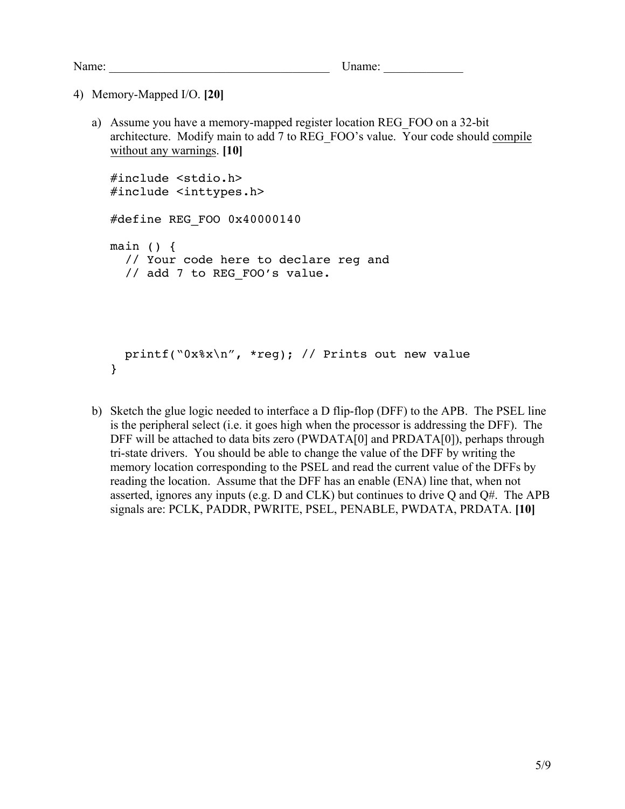4) Memory-Mapped I/O. **[20]**

a) Assume you have a memory-mapped register location REG\_FOO on a 32-bit architecture. Modify main to add 7 to REG\_FOO's value. Your code should compile without any warnings. **[10]**

```
#include <stdio.h>
#include <inttypes.h>
#define REG_FOO 0x40000140
main () {
   // Your code here to declare reg and 
  // add 7 to REG FOO's value.
  printf("0x%x\n", *reg); // Prints out new value
}
```
b) Sketch the glue logic needed to interface a D flip-flop (DFF) to the APB. The PSEL line is the peripheral select (i.e. it goes high when the processor is addressing the DFF). The DFF will be attached to data bits zero (PWDATA[0] and PRDATA[0]), perhaps through tri-state drivers. You should be able to change the value of the DFF by writing the memory location corresponding to the PSEL and read the current value of the DFFs by reading the location. Assume that the DFF has an enable (ENA) line that, when not asserted, ignores any inputs (e.g.  $D$  and  $CLK$ ) but continues to drive  $O$  and  $O#$ . The APB signals are: PCLK, PADDR, PWRITE, PSEL, PENABLE, PWDATA, PRDATA. **[10]**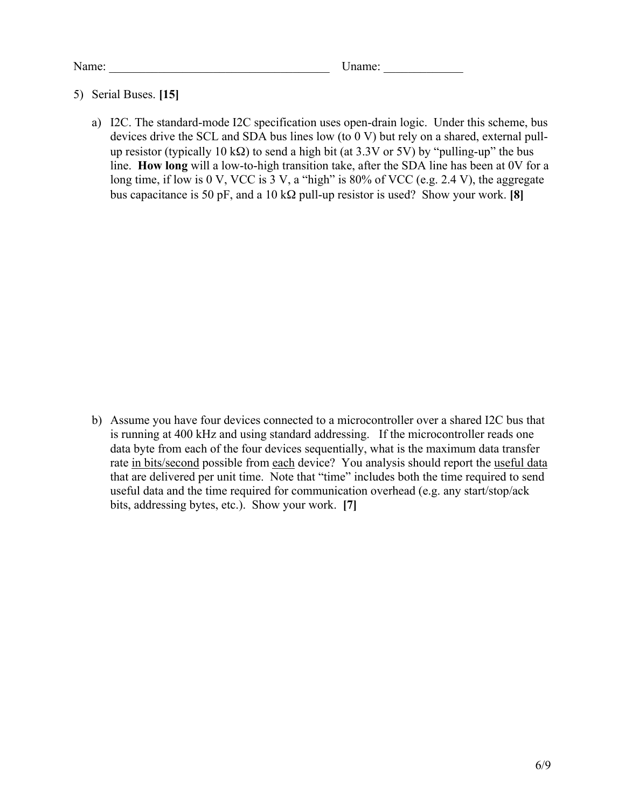#### 5) Serial Buses. **[15]**

a) I2C. The standard-mode I2C specification uses open-drain logic. Under this scheme, bus devices drive the SCL and SDA bus lines low (to 0 V) but rely on a shared, external pullup resistor (typically 10 k $\Omega$ ) to send a high bit (at 3.3V or 5V) by "pulling-up" the bus line. **How long** will a low-to-high transition take, after the SDA line has been at 0V for a long time, if low is 0 V, VCC is 3 V, a "high" is 80% of VCC (e.g. 2.4 V), the aggregate bus capacitance is 50 pF, and a 10 kΩ pull-up resistor is used? Show your work. **[8]**

b) Assume you have four devices connected to a microcontroller over a shared I2C bus that is running at 400 kHz and using standard addressing. If the microcontroller reads one data byte from each of the four devices sequentially, what is the maximum data transfer rate in bits/second possible from each device? You analysis should report the useful data that are delivered per unit time. Note that "time" includes both the time required to send useful data and the time required for communication overhead (e.g. any start/stop/ack bits, addressing bytes, etc.). Show your work. **[7]**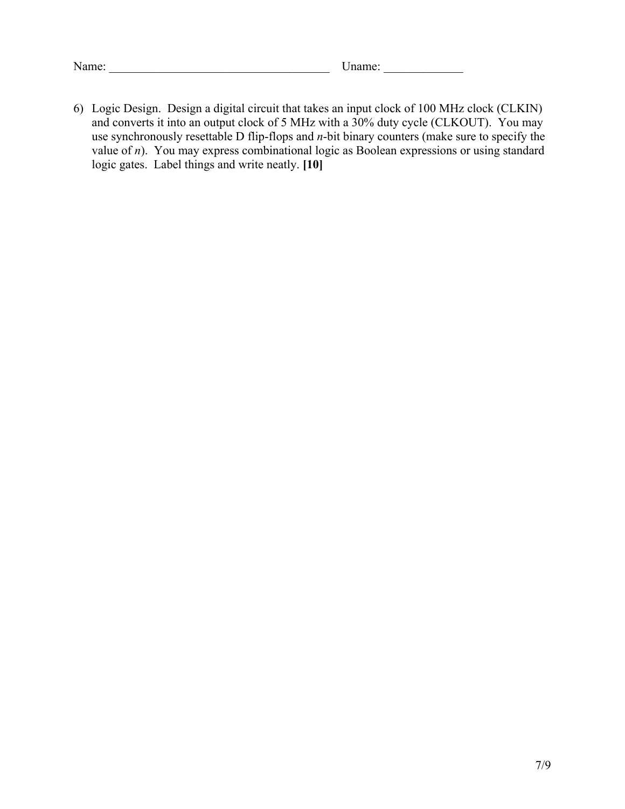| Name: |  | name: |  |
|-------|--|-------|--|
|-------|--|-------|--|

6) Logic Design. Design a digital circuit that takes an input clock of 100 MHz clock (CLKIN) and converts it into an output clock of 5 MHz with a 30% duty cycle (CLKOUT). You may use synchronously resettable D flip-flops and *n*-bit binary counters (make sure to specify the value of *n*). You may express combinational logic as Boolean expressions or using standard logic gates. Label things and write neatly. **[10]**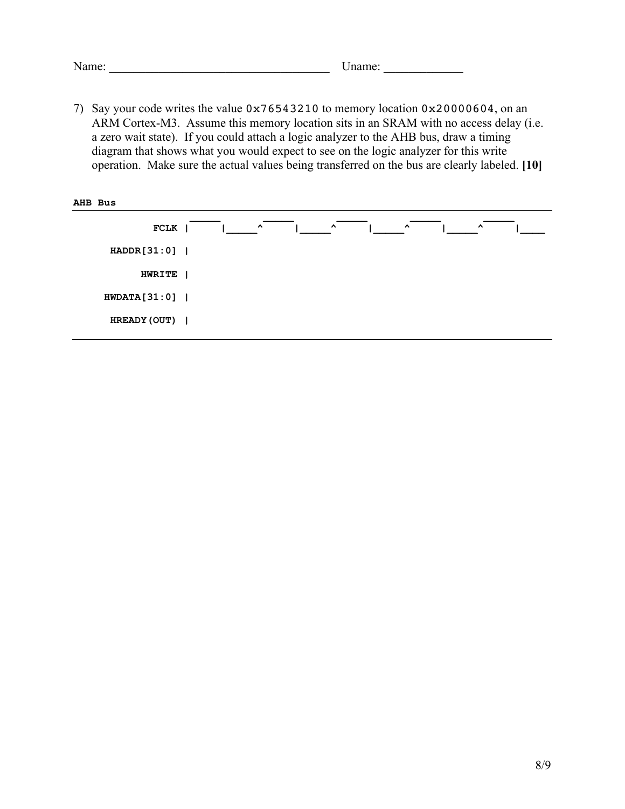| Name: | Jname: |  |
|-------|--------|--|
|       |        |  |

7) Say your code writes the value 0x76543210 to memory location 0x20000604, on an ARM Cortex-M3. Assume this memory location sits in an SRAM with no access delay (i.e. a zero wait state). If you could attach a logic analyzer to the AHB bus, draw a timing diagram that shows what you would expect to see on the logic analyzer for this write operation. Make sure the actual values being transferred on the bus are clearly labeled. **[10]**

| AHB Bus        |                                                                                          |
|----------------|------------------------------------------------------------------------------------------|
| <b>FCLK</b>    | $\hat{\phantom{a}}$<br>$\hat{\phantom{a}}$<br>$\hat{\phantom{a}}$<br>$\hat{\phantom{a}}$ |
| HADDR[31:0]    |                                                                                          |
| <b>HWRITE</b>  |                                                                                          |
| $HWDATA[31:0]$ |                                                                                          |
| HREADY (OUT)   |                                                                                          |
|                |                                                                                          |